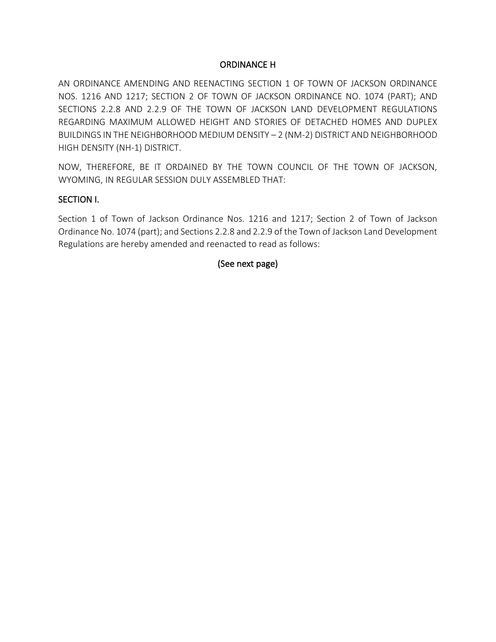### ORDINANCE H

AN ORDINANCE AMENDING AND REENACTING SECTION 1 OF TOWN OF JACKSON ORDINANCE NOS. 1216 AND 1217; SECTION 2 OF TOWN OF JACKSON ORDINANCE NO. 1074 (PART); AND SECTIONS 2.2.8 AND 2.2.9 OF THE TOWN OF JACKSON LAND DEVELOPMENT REGULATIONS REGARDING MAXIMUM ALLOWED HEIGHT AND STORIES OF DETACHED HOMES AND DUPLEX BUILDINGS IN THE NEIGHBORHOOD MEDIUM DENSITY – 2 (NM-2) DISTRICT AND NEIGHBORHOOD HIGH DENSITY (NH-1) DISTRICT.

NOW, THEREFORE, BE IT ORDAINED BY THE TOWN COUNCIL OF THE TOWN OF JACKSON, WYOMING, IN REGULAR SESSION DULY ASSEMBLED THAT:

### SECTION I.

Section 1 of Town of Jackson Ordinance Nos. 1216 and 1217; Section 2 of Town of Jackson Ordinance No. 1074 (part); and Sections 2.2.8 and 2.2.9 of the Town of Jackson Land Development Regulations are hereby amended and reenacted to read as follows:

### (See next page)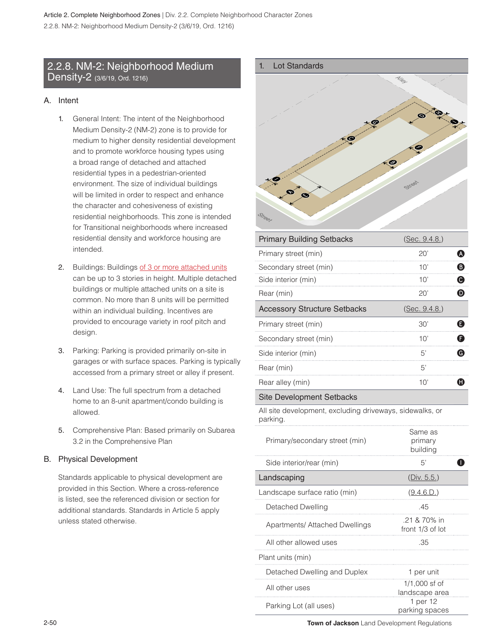### 2.2.8. NM-2: Neighborhood Medium Density-2 (3/6/19, Ord. 1216)

### A. Intent

- 1. General Intent: The intent of the Neighborhood Medium Density-2 (NM-2) zone is to provide for medium to higher density residential development and to promote workforce housing types using a broad range of detached and attached residential types in a pedestrian-oriented environment. The size of individual buildings will be limited in order to respect and enhance the character and cohesiveness of existing residential neighborhoods. This zone is intended for Transitional neighborhoods where increased residential density and workforce housing are intended.
- 2. Buildings: Buildings of 3 or more attached units can be up to 3 stories in height. Multiple detached buildings or multiple attached units on a site is common. No more than 8 units will be permitted within an individual building. Incentives are provided to encourage variety in roof pitch and design.
- 3. Parking: Parking is provided primarily on-site in garages or with surface spaces. Parking is typically accessed from a primary street or alley if present.
- 4. Land Use: The full spectrum from a detached home to an 8-unit apartment/condo building is allowed.
- 5. Comprehensive Plan: Based primarily on Subarea 3.2 in the Comprehensive Plan

### B. Physical Development

Standards applicable to physical development are provided in this Section. Where a cross-reference is listed, see the referenced division or section for additional standards. Standards in Article 5 apply unless stated otherwise.



| <b>Primary Building Setbacks</b>    | (Sec. 9.4.8.) |   |
|-------------------------------------|---------------|---|
| Primary street (min)                | $20^{\circ}$  | A |
| Secondary street (min)              | 10'           | ® |
| Side interior (min)                 | 10'           | Q |
| Rear (min)                          | 20'           | D |
| <b>Accessory Structure Setbacks</b> | (Sec. 9.4.8.) |   |
|                                     |               |   |
| Primary street (min)                | 30'           | Q |
| Secondary street (min)              | 10'           | F |
| Side interior (min)                 | 5'            | G |
| Rear (min)                          | 5'            |   |

#### Site Development Setbacks

All site development, excluding driveways, sidewalks, or parking.

| Primary/secondary street (min)        | Same as<br>primary<br>buildina    |
|---------------------------------------|-----------------------------------|
| Side interior/rear (min)              | 5'                                |
| Landscaping                           | (Div. 5.5.)                       |
| Landscape surface ratio (min)         | (9.4.6.D.)                        |
| Detached Dwelling                     | .45                               |
| <b>Apartments/ Attached Dwellings</b> | .21 & 70% in<br>front 1/3 of lot  |
| All other allowed uses                | .35                               |
| Plant units (min)                     |                                   |
| Detached Dwelling and Duplex          | 1 per unit                        |
| All other uses                        | $1/1,000$ sf of<br>landscape area |
| Parking Lot (all uses)                | 1 per 12<br>parking spaces        |

2-50 **Town of Jackson** Land Development Regulations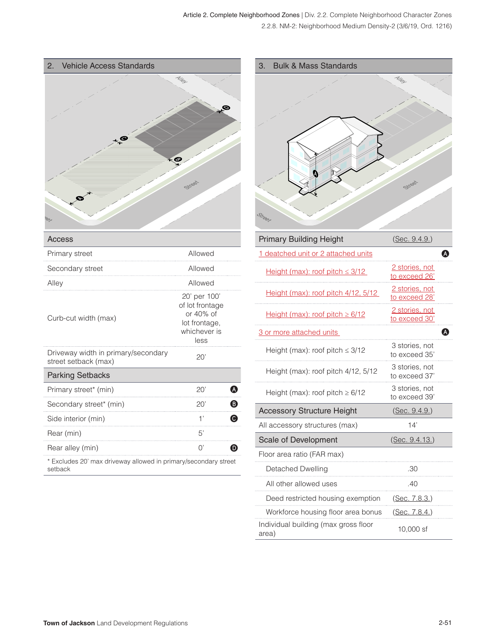All other allowed uses .40

Individual building (max gross floor area) 10,000 sf

Deed restricted housing exemption (Sec. 7.8.3.) Workforce housing floor area bonus (Sec. 7.8.4.)

| <b>Vehicle Access Standards</b><br>2.                                      |                                      |                                 | <b>Bulk &amp; Mass Standards</b><br>3. |                                 |
|----------------------------------------------------------------------------|--------------------------------------|---------------------------------|----------------------------------------|---------------------------------|
| <b>POL</b>                                                                 | Street                               |                                 | Street                                 | Street                          |
| <b>Access</b>                                                              |                                      |                                 | <b>Primary Building Height</b>         | (Sec. 9.4.9.)                   |
| Primary street                                                             | Allowed                              |                                 | 1 deatched unit or 2 attached units    | $\bullet$                       |
| Secondary street                                                           | Allowed                              |                                 | Height (max): roof pitch $\leq$ 3/12   | 2 stories, not<br>to exceed 26' |
| Alley                                                                      | Allowed<br>20' per 100'              |                                 | Height (max): roof pitch 4/12, 5/12    | 2 stories, not<br>to exceed 28' |
| of lot frontage<br>or 40% of<br>Curb-cut width (max)<br>lot frontage,      | Height (max): roof pitch $\geq 6/12$ | 2 stories, not<br>to exceed 30' |                                        |                                 |
|                                                                            | whichever is                         |                                 | 3 or more attached units               | Ð                               |
| Driveway width in primary/secondary                                        | less<br>20'                          |                                 | Height (max): roof pitch $\leq 3/12$   | 3 stories, not<br>to exceed 35' |
| street setback (max)<br><b>Parking Setbacks</b>                            |                                      |                                 | Height (max): roof pitch 4/12, 5/12    | 3 stories, not<br>to exceed 37' |
| Primary street* (min)                                                      | 20'                                  | $\boldsymbol{\omega}$           | Height (max): roof pitch $\geq 6/12$   | 3 stories, not<br>to exceed 39' |
| Secondary street* (min)                                                    | 20'                                  | ❸                               | <b>Accessory Structure Height</b>      | (Sec. 9.4.9.)                   |
| Side interior (min)                                                        | 1'                                   | $\boldsymbol{\Theta}$           | All accessory structures (max)         | 14'                             |
| Rear (min)                                                                 | 5'                                   |                                 | Scale of Development                   | (Sec. 9.4.13.)                  |
| Rear alley (min)                                                           | ()                                   | ⋒                               | Floor area ratio (FAR max)             |                                 |
| * Excludes 20' max driveway allowed in primary/secondary street<br>setback |                                      |                                 | <b>Detached Dwelling</b>               | .30                             |

. . . . . . . . .

. . . . . . . . .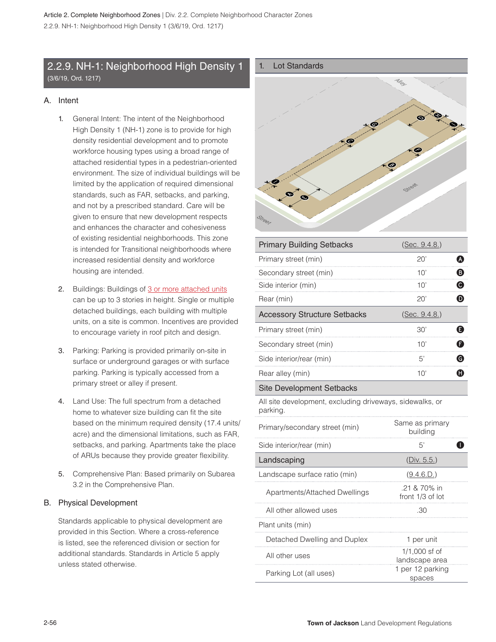### 2.2.9. NH-1: Neighborhood High Density 1 (3/6/19, Ord. 1217)

### A. Intent

- 1. General Intent: The intent of the Neighborhood High Density 1 (NH-1) zone is to provide for high density residential development and to promote workforce housing types using a broad range of attached residential types in a pedestrian-oriented environment. The size of individual buildings will be limited by the application of required dimensional standards, such as FAR, setbacks, and parking, and not by a prescribed standard. Care will be given to ensure that new development respects and enhances the character and cohesiveness of existing residential neighborhoods. This zone is intended for Transitional neighborhoods where increased residential density and workforce housing are intended.
- 2. Buildings: Buildings of 3 or more attached units can be up to 3 stories in height. Single or multiple detached buildings, each building with multiple units, on a site is common. Incentives are provided to encourage variety in roof pitch and design.
- 3. Parking: Parking is provided primarily on-site in surface or underground garages or with surface parking. Parking is typically accessed from a primary street or alley if present.
- 4. Land Use: The full spectrum from a detached home to whatever size building can fit the site based on the minimum required density (17.4 units/ acre) and the dimensional limitations, such as FAR, setbacks, and parking. Apartments take the place of ARUs because they provide greater flexibility.
- 5. Comprehensive Plan: Based primarily on Subarea 3.2 in the Comprehensive Plan.

#### B. Physical Development

Standards applicable to physical development are provided in this Section. Where a cross-reference is listed, see the referenced division or section for additional standards. Standards in Article 5 apply unless stated otherwise.



| <b>Primary Building Setbacks</b>                                     | (Sec. 9.4.8.)                    |              |
|----------------------------------------------------------------------|----------------------------------|--------------|
| Primary street (min)                                                 | 20'                              | ❹            |
| Secondary street (min)                                               | 10'                              | ❸            |
| Side interior (min)                                                  | 10'                              | $\bullet$    |
| Rear (min)                                                           | 20'                              | $\mathbf 0$  |
| <b>Accessory Structure Setbacks</b>                                  | (Sec. 9.4.8.)                    |              |
| Primary street (min)                                                 | 30'                              | ❶            |
| Secondary street (min)                                               | 10'                              | G            |
| Side interior/rear (min)                                             | 5'                               | $\bf \Theta$ |
| Rear alley (min)                                                     | 10'                              | O            |
| <b>Site Development Setbacks</b>                                     |                                  |              |
| All site development, excluding driveways, sidewalks, or<br>parking. |                                  |              |
| Primary/secondary street (min)                                       | Same as primary<br>building      |              |
| Side interior/rear (min)                                             | 5'                               | ID           |
| Landscaping                                                          | (Div. 5.5.)                      |              |
| Landscape surface ratio (min)                                        | (9.4.6.D.)                       |              |
| Apartments/Attached Dwellings                                        | .21 & 70% in<br>front 1/3 of lot |              |
| All other allowed uses                                               | .30                              |              |
| Plant units (min)                                                    |                                  |              |
| Detached Dwelling and Duplex                                         | 1 per unit                       |              |
| All other uses                                                       | 1/1,000 sf of<br>landscape area  |              |
| Parking Lot (all uses)                                               | 1 per 12 parking<br>spaces       |              |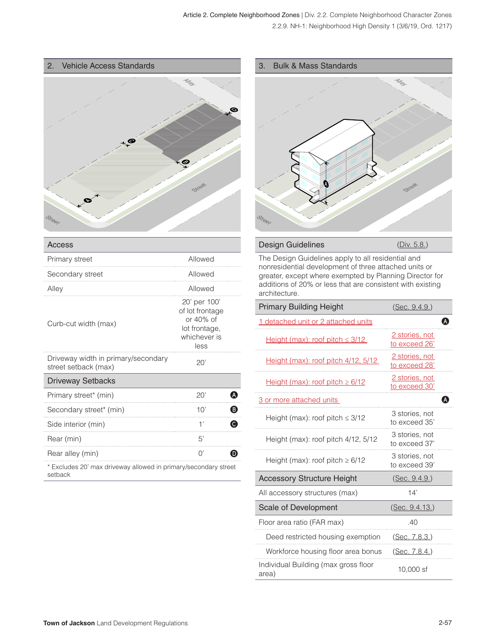

| Access                                                          |                                                                                       |
|-----------------------------------------------------------------|---------------------------------------------------------------------------------------|
| Primary street                                                  | Allowed                                                                               |
| Secondary street                                                | Allowed                                                                               |
| Alley                                                           | Allowed                                                                               |
| Curb-cut width (max)                                            | 20' per 100'<br>of lot frontage<br>or 40% of<br>lot frontage,<br>whichever is<br>less |
| Driveway width in primary/secondary<br>street setback (max)     | 20'                                                                                   |
| <b>Driveway Setbacks</b>                                        |                                                                                       |
| Primary street* (min)                                           | 20'<br>A                                                                              |
| Secondary street* (min)                                         | ®<br>10'                                                                              |
| Side interior (min)                                             | 1'<br>C)                                                                              |
| Rear (min)                                                      | 5'                                                                                    |
| Rear alley (min)                                                | $\bigcap$                                                                             |
| * Evaludes 20' mov driveyev alloued in primery/essendery street |                                                                                       |

Excludes 20' max driveway allowed in primary/secondary street setback

#### 3. Bulk & Mass Standards



# Design Guidelines (Div. 5.8.)

The Design Guidelines apply to all residential and nonresidential development of three attached units or greater, except where exempted by Planning Director for additions of 20% or less that are consistent with existing architecture.

| <b>Primary Building Height</b>                | (Sec. 9.4.9.)                   |
|-----------------------------------------------|---------------------------------|
| 1 detached unit or 2 attached units           |                                 |
| Height (max): roof pitch $\leq$ 3/12          | 2 stories, not<br>to exceed 26' |
| <u>Height (max): roof pitch 4/12, 5/12</u>    | 2 stories, not<br>to exceed 28' |
| Height (max): roof pitch $\geq 6/12$          | 2 stories, not<br>to exceed 30' |
| 3 or more attached units                      |                                 |
| Height (max): roof pitch $\leq$ 3/12          | 3 stories, not<br>to exceed 35' |
| Height (max): roof pitch 4/12, 5/12           | 3 stories, not<br>to exceed 37' |
| Height (max): roof pitch $\geq 6/12$          | 3 stories, not<br>to exceed 39' |
| <b>Accessory Structure Height</b>             | (Sec. 9.4.9.)                   |
| All accessory structures (max)                | 14'                             |
| Scale of Development                          | (Sec. 9.4.13.)                  |
| Floor area ratio (FAR max)                    | 40                              |
| Deed restricted housing exemption             | (Sec. 7.8.3.)                   |
| Workforce housing floor area bonus            | (Sec. 7.8.4.)                   |
| Individual Building (max gross floor<br>area) | 10,000 sf                       |